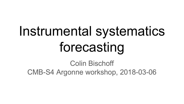# Instrumental systematics forecasting

Colin Bischoff CMB-S4 Argonne workshop, 2018-03-06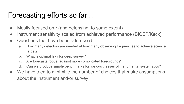### Forecasting efforts so far...

- Mostly focused on *r* (and delensing, to some extent)
- Instrument sensitivity scaled from achieved performance (BICEP/Keck)
- Questions that have been addressed:
	- a. How many detectors are needed at how many observing frequencies to achieve science target?
	- b. What is optimal fsky for deep survey?
	- c. Are forecasts robust against more complicated foregrounds?
	- d. Can we produce simple benchmarks for various classes of instrumental systematics?
- We have tried to minimize the number of choices that make assumptions about the instrument and/or survey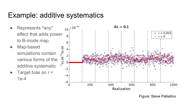### Example: additive systematics

- Represents \*any\* effect that adds power to B-mode map.
- Map-based simulations contain various forms of the additive systematic
- Target bias on *r* < 1e-4



Figure: Steve Palladino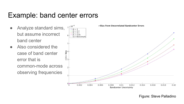#### Example: band center errors



Figure: Steve Palladino